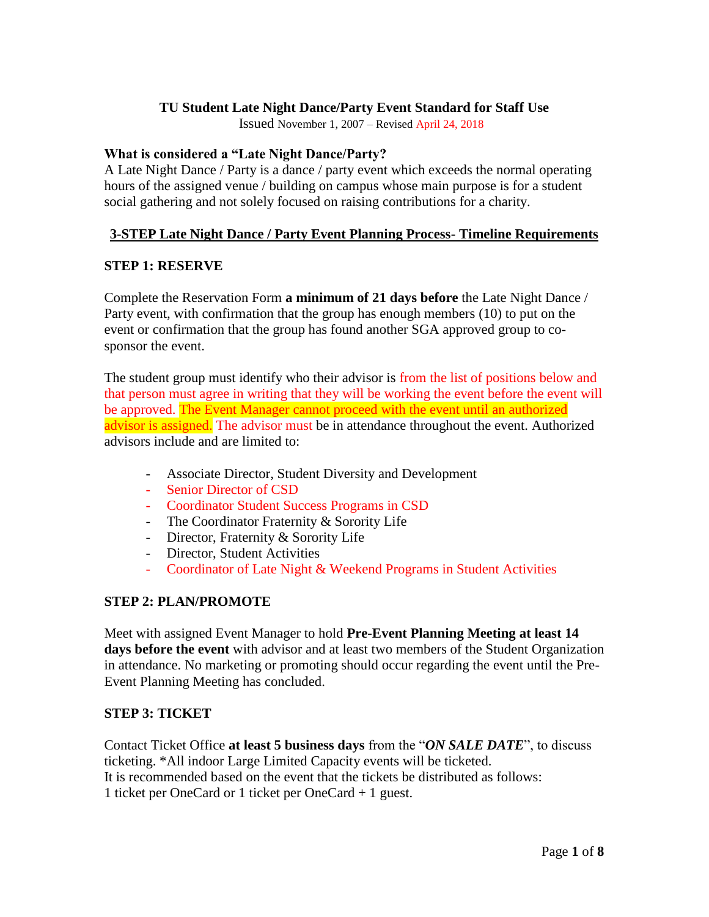### **TU Student Late Night Dance/Party Event Standard for Staff Use**

Issued November 1, 2007 – Revised April 24, 2018

#### **What is considered a "Late Night Dance/Party?**

A Late Night Dance / Party is a dance / party event which exceeds the normal operating hours of the assigned venue / building on campus whose main purpose is for a student social gathering and not solely focused on raising contributions for a charity.

### **3-STEP Late Night Dance / Party Event Planning Process- Timeline Requirements**

### **STEP 1: RESERVE**

Complete the Reservation Form **a minimum of 21 days before** the Late Night Dance / Party event, with confirmation that the group has enough members (10) to put on the event or confirmation that the group has found another SGA approved group to cosponsor the event.

The student group must identify who their advisor is from the list of positions below and that person must agree in writing that they will be working the event before the event will be approved. The Event Manager cannot proceed with the event until an authorized advisor is assigned. The advisor must be in attendance throughout the event. Authorized advisors include and are limited to:

- Associate Director, Student Diversity and Development
- Senior Director of CSD
- Coordinator Student Success Programs in CSD
- The Coordinator Fraternity & Sorority Life
- Director, Fraternity & Sorority Life
- Director, Student Activities
- Coordinator of Late Night & Weekend Programs in Student Activities

# **STEP 2: PLAN/PROMOTE**

Meet with assigned Event Manager to hold **Pre-Event Planning Meeting at least 14 days before the event** with advisor and at least two members of the Student Organization in attendance. No marketing or promoting should occur regarding the event until the Pre-Event Planning Meeting has concluded.

### **STEP 3: TICKET**

Contact Ticket Office **at least 5 business days** from the "*ON SALE DATE*", to discuss ticketing. \*All indoor Large Limited Capacity events will be ticketed. It is recommended based on the event that the tickets be distributed as follows: 1 ticket per OneCard or 1 ticket per OneCard + 1 guest.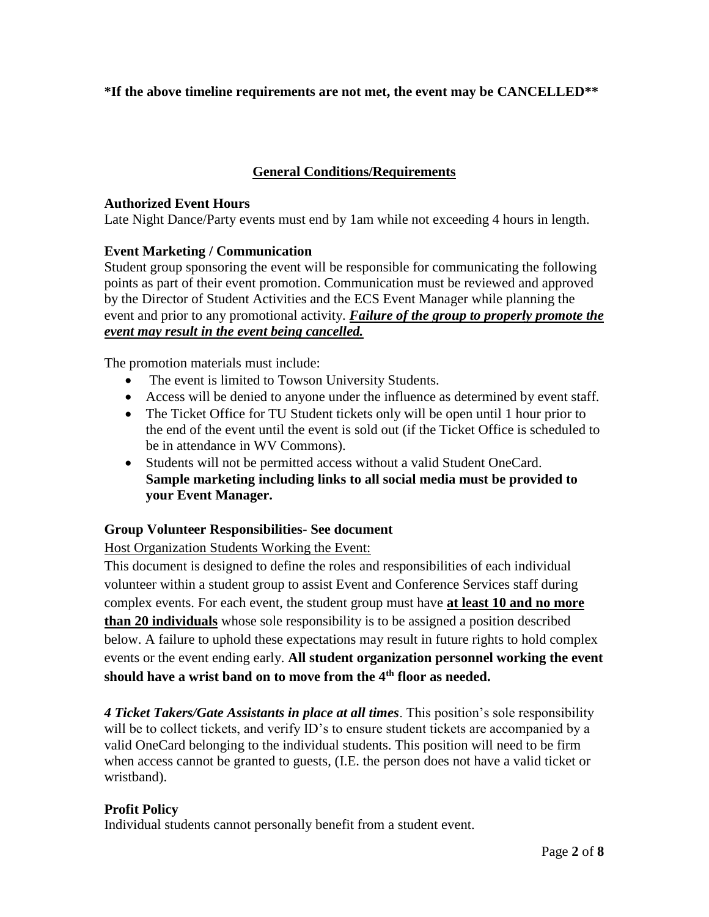# **\*If the above timeline requirements are not met, the event may be CANCELLED\*\***

# **General Conditions/Requirements**

### **Authorized Event Hours**

Late Night Dance/Party events must end by 1am while not exceeding 4 hours in length.

# **Event Marketing / Communication**

Student group sponsoring the event will be responsible for communicating the following points as part of their event promotion. Communication must be reviewed and approved by the Director of Student Activities and the ECS Event Manager while planning the event and prior to any promotional activity. *Failure of the group to properly promote the event may result in the event being cancelled.* 

The promotion materials must include:

- The event is limited to Towson University Students.
- Access will be denied to anyone under the influence as determined by event staff.
- The Ticket Office for TU Student tickets only will be open until 1 hour prior to the end of the event until the event is sold out (if the Ticket Office is scheduled to be in attendance in WV Commons).
- Students will not be permitted access without a valid Student OneCard. **Sample marketing including links to all social media must be provided to your Event Manager.**

# **Group Volunteer Responsibilities- See document**

Host Organization Students Working the Event:

This document is designed to define the roles and responsibilities of each individual volunteer within a student group to assist Event and Conference Services staff during complex events. For each event, the student group must have **at least 10 and no more than 20 individuals** whose sole responsibility is to be assigned a position described below. A failure to uphold these expectations may result in future rights to hold complex events or the event ending early. **All student organization personnel working the event should have a wrist band on to move from the 4th floor as needed.** 

*4 Ticket Takers/Gate Assistants in place at all times*. This position's sole responsibility will be to collect tickets, and verify ID's to ensure student tickets are accompanied by a valid OneCard belonging to the individual students. This position will need to be firm when access cannot be granted to guests, (I.E. the person does not have a valid ticket or wristband).

# **Profit Policy**

Individual students cannot personally benefit from a student event.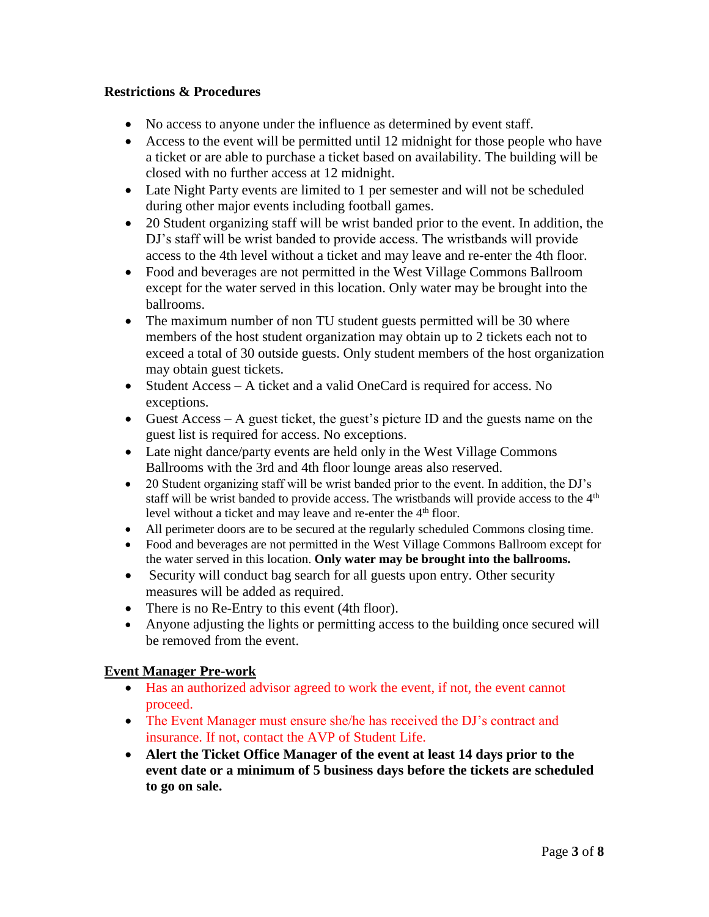### **Restrictions & Procedures**

- No access to anyone under the influence as determined by event staff.
- Access to the event will be permitted until 12 midnight for those people who have a ticket or are able to purchase a ticket based on availability. The building will be closed with no further access at 12 midnight.
- Late Night Party events are limited to 1 per semester and will not be scheduled during other major events including football games.
- 20 Student organizing staff will be wrist banded prior to the event. In addition, the DJ's staff will be wrist banded to provide access. The wristbands will provide access to the 4th level without a ticket and may leave and re-enter the 4th floor.
- Food and beverages are not permitted in the West Village Commons Ballroom except for the water served in this location. Only water may be brought into the ballrooms.
- The maximum number of non TU student guests permitted will be 30 where members of the host student organization may obtain up to 2 tickets each not to exceed a total of 30 outside guests. Only student members of the host organization may obtain guest tickets.
- Student Access A ticket and a valid OneCard is required for access. No exceptions.
- Guest Access A guest ticket, the guest's picture ID and the guests name on the guest list is required for access. No exceptions.
- Late night dance/party events are held only in the West Village Commons Ballrooms with the 3rd and 4th floor lounge areas also reserved.
- 20 Student organizing staff will be wrist banded prior to the event. In addition, the DJ's staff will be wrist banded to provide access. The wristbands will provide access to the  $4<sup>th</sup>$ level without a ticket and may leave and re-enter the 4<sup>th</sup> floor.
- All perimeter doors are to be secured at the regularly scheduled Commons closing time.
- Food and beverages are not permitted in the West Village Commons Ballroom except for the water served in this location. **Only water may be brought into the ballrooms.**
- Security will conduct bag search for all guests upon entry. Other security measures will be added as required.
- There is no Re-Entry to this event (4th floor).
- Anyone adjusting the lights or permitting access to the building once secured will be removed from the event.

# **Event Manager Pre-work**

- Has an authorized advisor agreed to work the event, if not, the event cannot proceed.
- The Event Manager must ensure she/he has received the DJ's contract and insurance. If not, contact the AVP of Student Life.
- **Alert the Ticket Office Manager of the event at least 14 days prior to the event date or a minimum of 5 business days before the tickets are scheduled to go on sale.**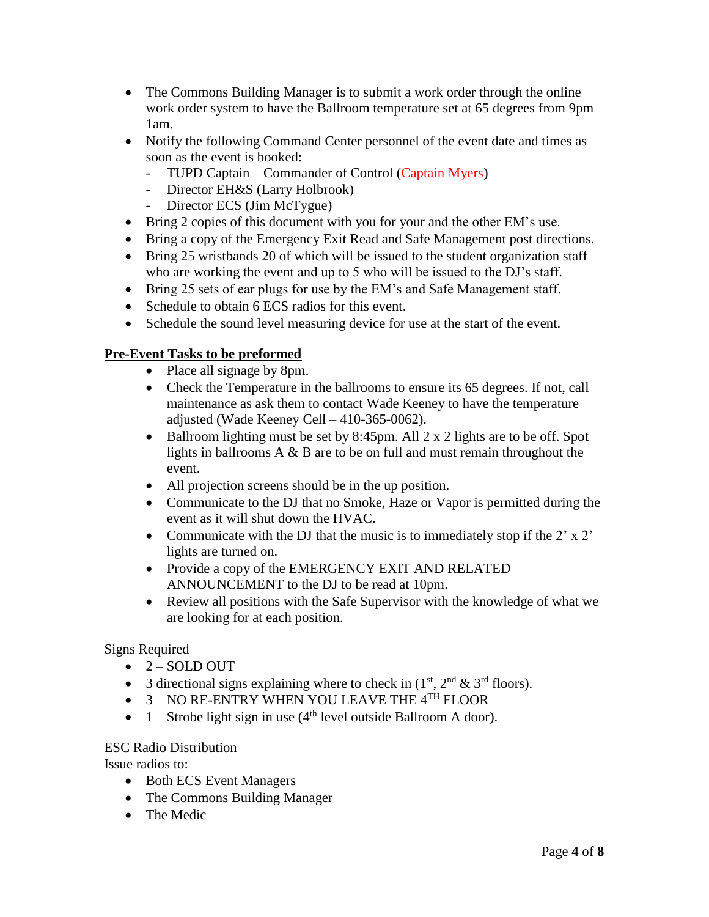- The Commons Building Manager is to submit a work order through the online work order system to have the Ballroom temperature set at 65 degrees from 9pm – 1am.
- Notify the following Command Center personnel of the event date and times as soon as the event is booked:
	- TUPD Captain Commander of Control (Captain Myers)
	- Director EH&S (Larry Holbrook)
	- Director ECS (Jim McTygue)
- Bring 2 copies of this document with you for your and the other EM's use.
- Bring a copy of the Emergency Exit Read and Safe Management post directions.
- Bring 25 wristbands 20 of which will be issued to the student organization staff who are working the event and up to 5 who will be issued to the DJ's staff.
- Bring 25 sets of ear plugs for use by the EM's and Safe Management staff.
- Schedule to obtain 6 ECS radios for this event.
- Schedule the sound level measuring device for use at the start of the event.

# **Pre-Event Tasks to be preformed**

- Place all signage by 8pm.
- Check the Temperature in the ballrooms to ensure its 65 degrees. If not, call maintenance as ask them to contact Wade Keeney to have the temperature adjusted (Wade Keeney Cell – 410-365-0062).
- $\bullet$  Ballroom lighting must be set by 8:45pm. All 2 x 2 lights are to be off. Spot lights in ballrooms A & B are to be on full and must remain throughout the event.
- All projection screens should be in the up position.
- Communicate to the DJ that no Smoke, Haze or Vapor is permitted during the event as it will shut down the HVAC.
- Communicate with the DJ that the music is to immediately stop if the  $2' \times 2'$ lights are turned on.
- Provide a copy of the EMERGENCY EXIT AND RELATED ANNOUNCEMENT to the DJ to be read at 10pm.
- Review all positions with the Safe Supervisor with the knowledge of what we are looking for at each position.

# Signs Required

- $\bullet$  2 SOLD OUT
- 3 directional signs explaining where to check in  $(1<sup>st</sup>, 2<sup>nd</sup> & 3<sup>rd</sup>$  floors).
- $\bullet$  3 NO RE-ENTRY WHEN YOU LEAVE THE 4TH FLOOR
- $1 -$  Strobe light sign in use (4<sup>th</sup> level outside Ballroom A door).

# ESC Radio Distribution

Issue radios to:

- Both ECS Event Managers
- The Commons Building Manager
- The Medic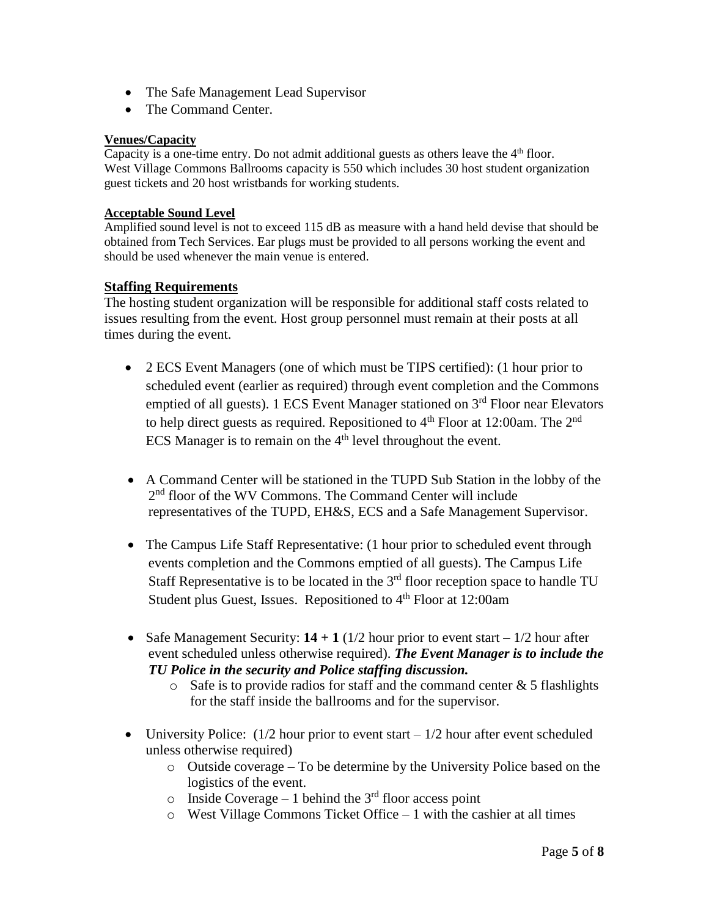- The Safe Management Lead Supervisor
- The Command Center.

# **Venues/Capacity**

Capacity is a one-time entry. Do not admit additional guests as others leave the  $4<sup>th</sup>$  floor. West Village Commons Ballrooms capacity is 550 which includes 30 host student organization guest tickets and 20 host wristbands for working students.

#### **Acceptable Sound Level**

Amplified sound level is not to exceed 115 dB as measure with a hand held devise that should be obtained from Tech Services. Ear plugs must be provided to all persons working the event and should be used whenever the main venue is entered.

### **Staffing Requirements**

The hosting student organization will be responsible for additional staff costs related to issues resulting from the event. Host group personnel must remain at their posts at all times during the event.

- 2 ECS Event Managers (one of which must be TIPS certified): (1 hour prior to scheduled event (earlier as required) through event completion and the Commons emptied of all guests). 1 ECS Event Manager stationed on  $3<sup>rd</sup>$  Floor near Elevators to help direct guests as required. Repositioned to  $4<sup>th</sup>$  Floor at 12:00am. The  $2<sup>nd</sup>$ ECS Manager is to remain on the  $4<sup>th</sup>$  level throughout the event.
- A Command Center will be stationed in the TUPD Sub Station in the lobby of the 2<sup>nd</sup> floor of the WV Commons. The Command Center will include representatives of the TUPD, EH&S, ECS and a Safe Management Supervisor.
- The Campus Life Staff Representative: (1 hour prior to scheduled event through events completion and the Commons emptied of all guests). The Campus Life Staff Representative is to be located in the  $3<sup>rd</sup>$  floor reception space to handle TU Student plus Guest, Issues. Repositioned to  $4<sup>th</sup>$  Floor at 12:00am
- Safe Management Security:  $14 + 1$  ( $1/2$  hour prior to event start  $-1/2$  hour after event scheduled unless otherwise required). *The Event Manager is to include the TU Police in the security and Police staffing discussion.*
	- $\circ$  Safe is to provide radios for staff and the command center & 5 flashlights for the staff inside the ballrooms and for the supervisor.
- University Police:  $(1/2$  hour prior to event start  $-1/2$  hour after event scheduled unless otherwise required)
	- o Outside coverage To be determine by the University Police based on the logistics of the event.
	- $\circ$  Inside Coverage 1 behind the 3<sup>rd</sup> floor access point
	- o West Village Commons Ticket Office 1 with the cashier at all times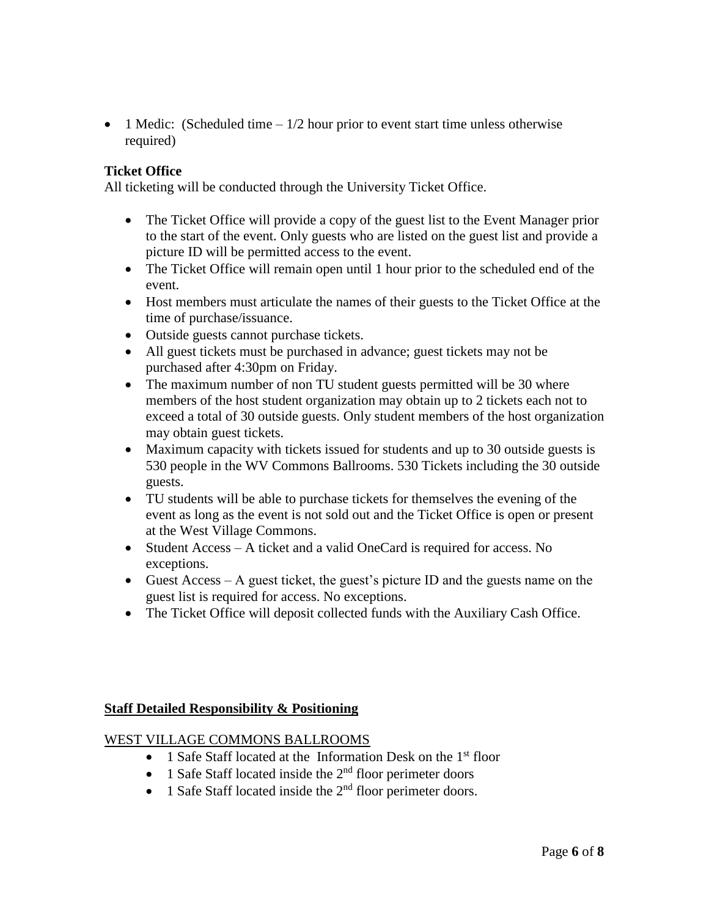• 1 Medic: (Scheduled time  $-1/2$  hour prior to event start time unless otherwise required)

### **Ticket Office**

All ticketing will be conducted through the University Ticket Office.

- The Ticket Office will provide a copy of the guest list to the Event Manager prior to the start of the event. Only guests who are listed on the guest list and provide a picture ID will be permitted access to the event.
- The Ticket Office will remain open until 1 hour prior to the scheduled end of the event.
- Host members must articulate the names of their guests to the Ticket Office at the time of purchase/issuance.
- Outside guests cannot purchase tickets.
- All guest tickets must be purchased in advance; guest tickets may not be purchased after 4:30pm on Friday.
- The maximum number of non TU student guests permitted will be 30 where members of the host student organization may obtain up to 2 tickets each not to exceed a total of 30 outside guests. Only student members of the host organization may obtain guest tickets.
- Maximum capacity with tickets issued for students and up to 30 outside guests is 530 people in the WV Commons Ballrooms. 530 Tickets including the 30 outside guests.
- TU students will be able to purchase tickets for themselves the evening of the event as long as the event is not sold out and the Ticket Office is open or present at the West Village Commons.
- Student Access A ticket and a valid OneCard is required for access. No exceptions.
- Guest Access A guest ticket, the guest's picture ID and the guests name on the guest list is required for access. No exceptions.
- The Ticket Office will deposit collected funds with the Auxiliary Cash Office.

### **Staff Detailed Responsibility & Positioning**

### WEST VILLAGE COMMONS BALLROOMS

- $\bullet$  1 Safe Staff located at the Information Desk on the 1<sup>st</sup> floor
- 1 Safe Staff located inside the  $2<sup>nd</sup>$  floor perimeter doors
- $\bullet$  1 Safe Staff located inside the 2<sup>nd</sup> floor perimeter doors.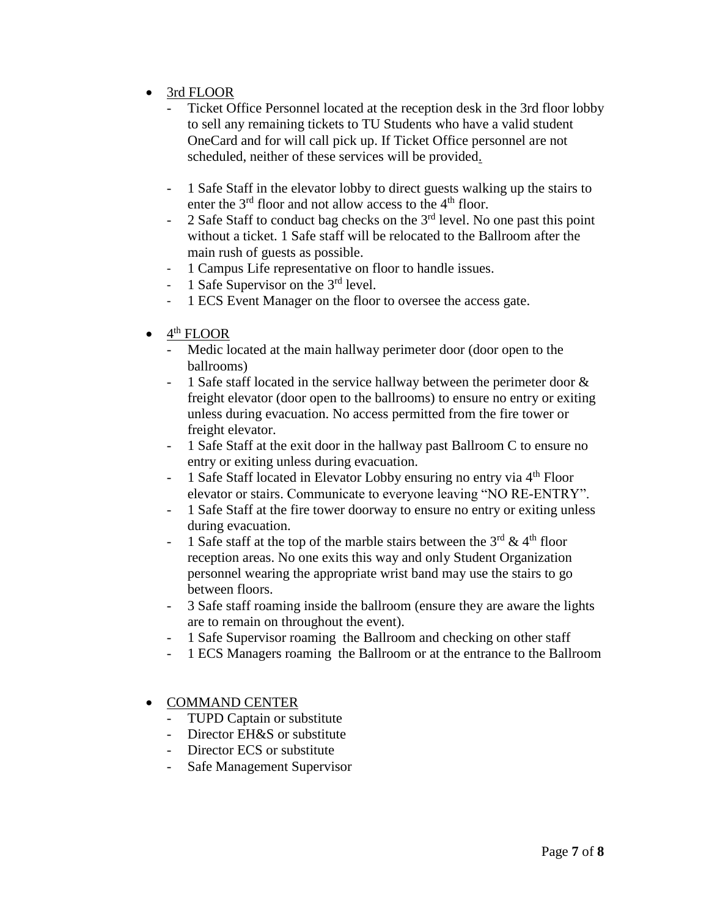- 3rd FLOOR
	- Ticket Office Personnel located at the reception desk in the 3rd floor lobby to sell any remaining tickets to TU Students who have a valid student OneCard and for will call pick up. If Ticket Office personnel are not scheduled, neither of these services will be provided.
	- 1 Safe Staff in the elevator lobby to direct guests walking up the stairs to enter the  $3<sup>rd</sup>$  floor and not allow access to the  $4<sup>th</sup>$  floor.
	- 2 Safe Staff to conduct bag checks on the  $3<sup>rd</sup>$  level. No one past this point without a ticket. 1 Safe staff will be relocated to the Ballroom after the main rush of guests as possible.
	- 1 Campus Life representative on floor to handle issues.
	- 1 Safe Supervisor on the  $3<sup>rd</sup>$  level.
	- 1 ECS Event Manager on the floor to oversee the access gate.
- $\bullet$  4<sup>th</sup> FLOOR
	- Medic located at the main hallway perimeter door (door open to the ballrooms)
	- 1 Safe staff located in the service hallway between the perimeter door  $\&$ freight elevator (door open to the ballrooms) to ensure no entry or exiting unless during evacuation. No access permitted from the fire tower or freight elevator.
	- 1 Safe Staff at the exit door in the hallway past Ballroom C to ensure no entry or exiting unless during evacuation.
	- 1 Safe Staff located in Elevator Lobby ensuring no entry via  $4<sup>th</sup>$  Floor elevator or stairs. Communicate to everyone leaving "NO RE-ENTRY".
	- 1 Safe Staff at the fire tower doorway to ensure no entry or exiting unless during evacuation.
	- 1 Safe staff at the top of the marble stairs between the  $3<sup>rd</sup>$  & 4<sup>th</sup> floor reception areas. No one exits this way and only Student Organization personnel wearing the appropriate wrist band may use the stairs to go between floors.
	- 3 Safe staff roaming inside the ballroom (ensure they are aware the lights are to remain on throughout the event).
	- 1 Safe Supervisor roaming the Ballroom and checking on other staff
	- 1 ECS Managers roaming the Ballroom or at the entrance to the Ballroom

# COMMAND CENTER

- TUPD Captain or substitute
- Director EH&S or substitute
- Director ECS or substitute
- Safe Management Supervisor